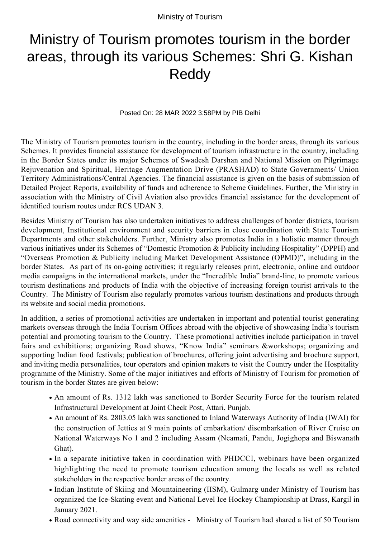Ministry of Tourism

## Ministry of Tourism promotes tourism in the border areas, through its various Schemes: Shri G. Kishan Reddy

Posted On: 28 MAR 2022 3:58PM by PIB Delhi

The Ministry of Tourism promotes tourism in the country, including in the border areas, through its various Schemes. It provides financial assistance for development of tourism infrastructure in the country, including in the Border States under its major Schemes of Swadesh Darshan and National Mission on Pilgrimage Rejuvenation and Spiritual, Heritage Augmentation Drive (PRASHAD) to State Governments/ Union Territory Administrations/Central Agencies. The financial assistance is given on the basis of submission of Detailed Project Reports, availability of funds and adherence to Scheme Guidelines. Further, the Ministry in association with the Ministry of Civil Aviation also provides financial assistance for the development of identified tourism routes under RCS UDAN 3.

Besides Ministry of Tourism has also undertaken initiatives to address challenges of border districts, tourism development, Institutional environment and security barriers in close coordination with State Tourism Departments and other stakeholders. Further, Ministry also promotes India in a holistic manner through various initiatives under its Schemes of "Domestic Promotion & Publicity including Hospitality" (DPPH) and "Overseas Promotion & Publicity including Market Development Assistance (OPMD)", including in the border States. As part of its on-going activities; it regularly releases print, electronic, online and outdoor media campaigns in the international markets, under the "Incredible India" brand-line, to promote various tourism destinations and products of India with the objective of increasing foreign tourist arrivals to the Country. The Ministry of Tourism also regularly promotes various tourism destinations and products through its website and social media promotions.

In addition, a series of promotional activities are undertaken in important and potential tourist generating markets overseas through the India Tourism Offices abroad with the objective of showcasing India's tourism potential and promoting tourism to the Country. These promotional activities include participation in travel fairs and exhibitions; organizing Road shows, "Know India" seminars &workshops; organizing and supporting Indian food festivals; publication of brochures, offering joint advertising and brochure support, and inviting media personalities, tour operators and opinion makers to visit the Country under the Hospitality programme of the Ministry. Some of the major initiatives and efforts of Ministry of Tourism for promotion of tourism in the border States are given below:

- An amount of Rs. 1312 lakh was sanctioned to Border Security Force for the tourism related Infrastructural Development at Joint Check Post, Attari, Punjab.
- An amount of Rs. 2803.05 lakh was sanctioned to Inland Waterways Authority of India (IWAI) for the construction of Jetties at 9 main points of embarkation/ disembarkation of River Cruise on National Waterways No 1 and 2 including Assam (Neamati, Pandu, Jogighopa and Biswanath Ghat).
- In a separate initiative taken in coordination with PHDCCI, webinars have been organized highlighting the need to promote tourism education among the locals as well as related stakeholders in the respective border areas of the country.
- Indian Institute of Skiing and Mountaineering (IISM), Gulmarg under Ministry of Tourism has organized the Ice-Skating event and National Level Ice Hockey Championship at Drass, Kargil in January 2021.
- Road connectivity and way side amenities Ministry of Tourism had shared a list of 50 Tourism